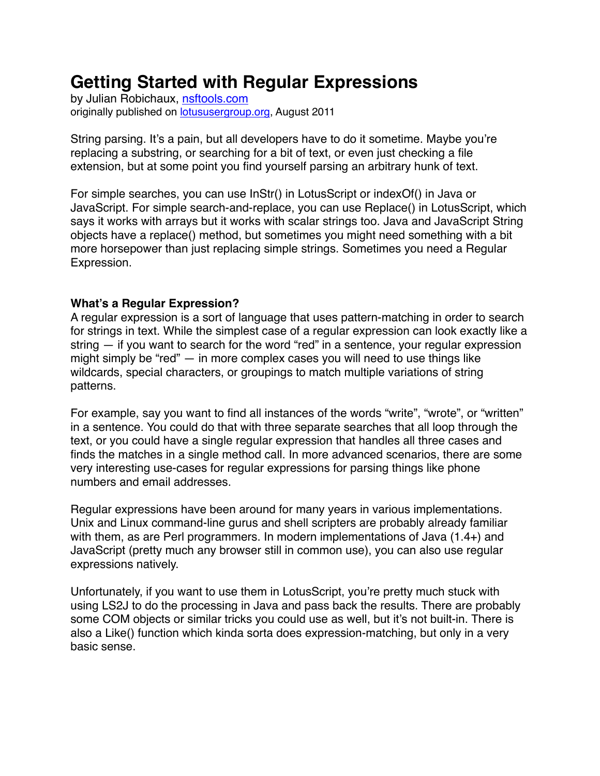# **Getting Started with Regular Expressions**

by Julian Robichaux, [nsftools.com](http://nsftools.com) originally published on [lotususergroup.org,](http://lotususergroup.org) August 2011

String parsing. It's a pain, but all developers have to do it sometime. Maybe you're replacing a substring, or searching for a bit of text, or even just checking a file extension, but at some point you find yourself parsing an arbitrary hunk of text.

For simple searches, you can use InStr() in LotusScript or indexOf() in Java or JavaScript. For simple search-and-replace, you can use Replace() in LotusScript, which says it works with arrays but it works with scalar strings too. Java and JavaScript String objects have a replace() method, but sometimes you might need something with a bit more horsepower than just replacing simple strings. Sometimes you need a Regular Expression.

## **What's a Regular Expression?**

A regular expression is a sort of language that uses pattern-matching in order to search for strings in text. While the simplest case of a regular expression can look exactly like a string — if you want to search for the word "red" in a sentence, your regular expression might simply be "red" — in more complex cases you will need to use things like wildcards, special characters, or groupings to match multiple variations of string patterns.

For example, say you want to find all instances of the words "write", "wrote", or "written" in a sentence. You could do that with three separate searches that all loop through the text, or you could have a single regular expression that handles all three cases and finds the matches in a single method call. In more advanced scenarios, there are some very interesting use-cases for regular expressions for parsing things like phone numbers and email addresses.

Regular expressions have been around for many years in various implementations. Unix and Linux command-line gurus and shell scripters are probably already familiar with them, as are Perl programmers. In modern implementations of Java (1.4+) and JavaScript (pretty much any browser still in common use), you can also use regular expressions natively.

Unfortunately, if you want to use them in LotusScript, you're pretty much stuck with using LS2J to do the processing in Java and pass back the results. There are probably some COM objects or similar tricks you could use as well, but it's not built-in. There is also a Like() function which kinda sorta does expression-matching, but only in a very basic sense.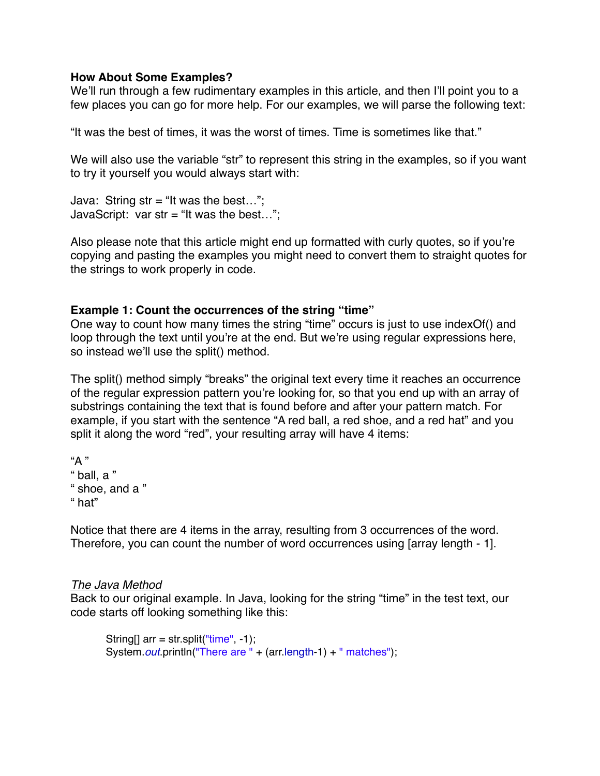#### **How About Some Examples?**

We'll run through a few rudimentary examples in this article, and then I'll point you to a few places you can go for more help. For our examples, we will parse the following text:

"It was the best of times, it was the worst of times. Time is sometimes like that."

We will also use the variable "str" to represent this string in the examples, so if you want to try it yourself you would always start with:

Java: String str = "It was the best..."; JavaScript: var str = "It was the best...";

Also please note that this article might end up formatted with curly quotes, so if you're copying and pasting the examples you might need to convert them to straight quotes for the strings to work properly in code.

## **Example 1: Count the occurrences of the string "time"**

One way to count how many times the string "time" occurs is just to use indexOf() and loop through the text until you're at the end. But we're using regular expressions here, so instead we'll use the split() method.

The split() method simply "breaks" the original text every time it reaches an occurrence of the regular expression pattern you're looking for, so that you end up with an array of substrings containing the text that is found before and after your pattern match. For example, if you start with the sentence "A red ball, a red shoe, and a red hat" and you split it along the word "red", your resulting array will have 4 items:

```
"A "
" ball, a "
" shoe, and a "
" hat"
```
Notice that there are 4 items in the array, resulting from 3 occurrences of the word. Therefore, you can count the number of word occurrences using [array length - 1].

## *The Java Method*

Back to our original example. In Java, looking for the string "time" in the test text, our code starts off looking something like this:

```
String[] arr = str.split("time", -1);System.out.println("There are " + (arr.length-1) + " matches");
```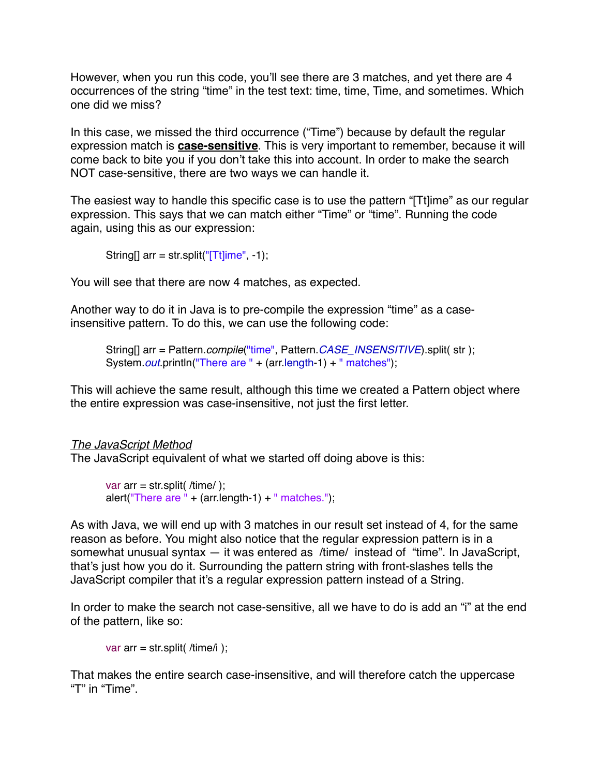However, when you run this code, you'll see there are 3 matches, and yet there are 4 occurrences of the string "time" in the test text: time, time, Time, and sometimes. Which one did we miss?

In this case, we missed the third occurrence ("Time") because by default the regular expression match is **case-sensitive**. This is very important to remember, because it will come back to bite you if you don't take this into account. In order to make the search NOT case-sensitive, there are two ways we can handle it.

The easiest way to handle this specific case is to use the pattern "[Tt]ime" as our regular expression. This says that we can match either "Time" or "time". Running the code again, using this as our expression:

String[]  $arr = str.split("[Tit]ime", -1);$ 

You will see that there are now 4 matches, as expected.

Another way to do it in Java is to pre-compile the expression "time" as a caseinsensitive pattern. To do this, we can use the following code:

String[] arr = Pattern.*compile*("time", Pattern.*CASE\_INSENSITIVE*).split( str ); System.*out*.println("There are " + (arr.length-1) + " matches");

This will achieve the same result, although this time we created a Pattern object where the entire expression was case-insensitive, not just the first letter.

#### *The JavaScript Method*

The JavaScript equivalent of what we started off doing above is this:

```
var \arctan x = \text{str.split}( /time/ );
alert("There are " + (arr.length-1) + " matches.");
```
As with Java, we will end up with 3 matches in our result set instead of 4, for the same reason as before. You might also notice that the regular expression pattern is in a somewhat unusual syntax — it was entered as /time/ instead of "time". In JavaScript, that's just how you do it. Surrounding the pattern string with front-slashes tells the JavaScript compiler that it's a regular expression pattern instead of a String.

In order to make the search not case-sensitive, all we have to do is add an "i" at the end of the pattern, like so:

var arr = str.split( $/$ time $/$ i);

That makes the entire search case-insensitive, and will therefore catch the uppercase "T" in "Time".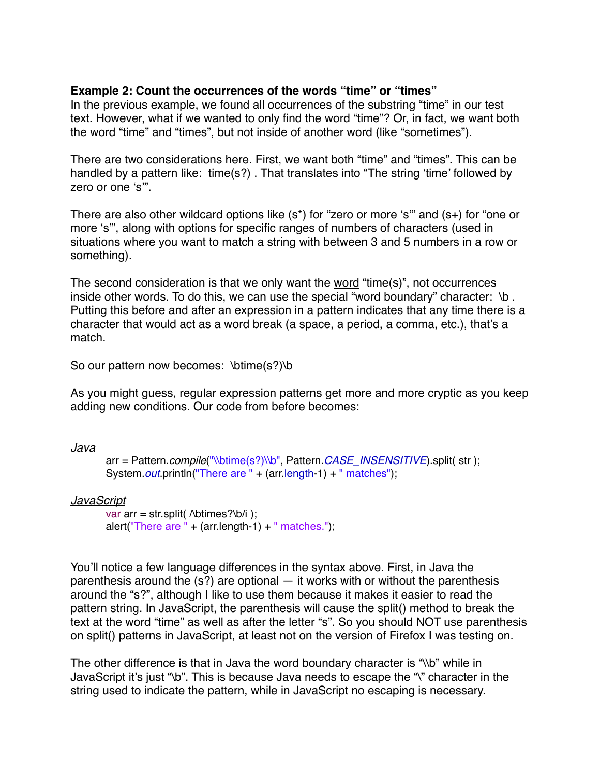#### **Example 2: Count the occurrences of the words "time" or "times"**

In the previous example, we found all occurrences of the substring "time" in our test text. However, what if we wanted to only find the word "time"? Or, in fact, we want both the word "time" and "times", but not inside of another word (like "sometimes").

There are two considerations here. First, we want both "time" and "times". This can be handled by a pattern like: time(s?). That translates into "The string 'time' followed by zero or one 's'".

There are also other wildcard options like (s\*) for "zero or more 's'" and (s+) for "one or more 's'", along with options for specific ranges of numbers of characters (used in situations where you want to match a string with between 3 and 5 numbers in a row or something).

The second consideration is that we only want the word "time(s)", not occurrences inside other words. To do this, we can use the special "word boundary" character: \b . Putting this before and after an expression in a pattern indicates that any time there is a character that would act as a word break (a space, a period, a comma, etc.), that's a match.

So our pattern now becomes: \btime(s?)\b

As you might guess, regular expression patterns get more and more cryptic as you keep adding new conditions. Our code from before becomes:

*Java*

```
arr = Pattern.compile("\\btime(s?)\\b", Pattern.CASE_INSENSITIVE).split( str );
System.out.println("There are " + (arr.length-1) + " matches");
```
*JavaScript*

```
var arr = str.split(\Deltabtimes?\Deltab/i );
alert("There are " + (arr.length-1) + " matches.");
```
You'll notice a few language differences in the syntax above. First, in Java the parenthesis around the  $(s?)$  are optional  $-$  it works with or without the parenthesis around the "s?", although I like to use them because it makes it easier to read the pattern string. In JavaScript, the parenthesis will cause the split() method to break the text at the word "time" as well as after the letter "s". So you should NOT use parenthesis on split() patterns in JavaScript, at least not on the version of Firefox I was testing on.

The other difference is that in Java the word boundary character is "\\b" while in JavaScript it's just "\b". This is because Java needs to escape the "\" character in the string used to indicate the pattern, while in JavaScript no escaping is necessary.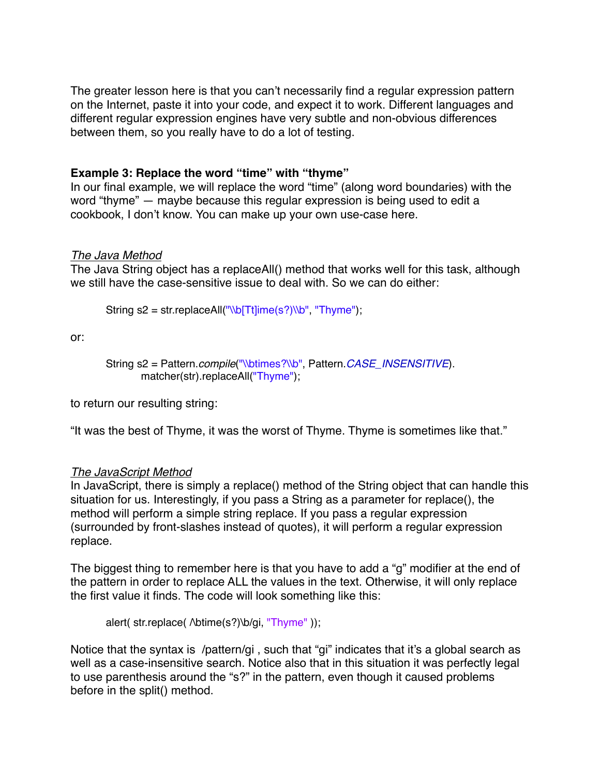The greater lesson here is that you can't necessarily find a regular expression pattern on the Internet, paste it into your code, and expect it to work. Different languages and different regular expression engines have very subtle and non-obvious differences between them, so you really have to do a lot of testing.

## **Example 3: Replace the word "time" with "thyme"**

In our final example, we will replace the word "time" (along word boundaries) with the word "thyme" — maybe because this regular expression is being used to edit a cookbook, I don't know. You can make up your own use-case here.

## *The Java Method*

The Java String object has a replaceAll() method that works well for this task, although we still have the case-sensitive issue to deal with. So we can do either:

String  $s2 = str.\text{replaceAll}("W[Tt]ime(s?)]\cdot \text{Tryme}$ ");

or:

```
String s2 = Pattern.compile("\\btimes?\\b", Pattern.CASE_INSENSITIVE).
       matcher(str).replaceAll("Thyme");
```
to return our resulting string:

"It was the best of Thyme, it was the worst of Thyme. Thyme is sometimes like that."

# *The JavaScript Method*

In JavaScript, there is simply a replace() method of the String object that can handle this situation for us. Interestingly, if you pass a String as a parameter for replace(), the method will perform a simple string replace. If you pass a regular expression (surrounded by front-slashes instead of quotes), it will perform a regular expression replace.

The biggest thing to remember here is that you have to add a "g" modifier at the end of the pattern in order to replace ALL the values in the text. Otherwise, it will only replace the first value it finds. The code will look something like this:

alert( str.replace(  $\Delta$ btime(s?) $\Delta$ oi, "Thyme" ));

Notice that the syntax is /pattern/gi , such that "gi" indicates that it's a global search as well as a case-insensitive search. Notice also that in this situation it was perfectly legal to use parenthesis around the "s?" in the pattern, even though it caused problems before in the split() method.